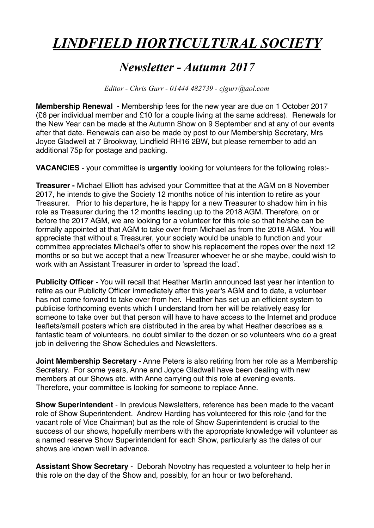## *LINDFIELD HORTICULTURAL SOCIETY*

## *Newsletter - Autumn 2017*

*Editor - Chris Gurr - 01444 482739 - cjgurr@aol.com*

**Membership Renewal** - Membership fees for the new year are due on 1 October 2017 (£6 per individual member and £10 for a couple living at the same address). Renewals for the New Year can be made at the Autumn Show on 9 September and at any of our events after that date. Renewals can also be made by post to our Membership Secretary, Mrs Joyce Gladwell at 7 Brookway, Lindfield RH16 2BW, but please remember to add an additional 75p for postage and packing.

**VACANCIES** - your committee is **urgently** looking for volunteers for the following roles:-

**Treasurer -** Michael Elliott has advised your Committee that at the AGM on 8 November 2017, he intends to give the Society 12 months notice of his intention to retire as your Treasurer. Prior to his departure, he is happy for a new Treasurer to shadow him in his role as Treasurer during the 12 months leading up to the 2018 AGM. Therefore, on or before the 2017 AGM, we are looking for a volunteer for this role so that he/she can be formally appointed at that AGM to take over from Michael as from the 2018 AGM. You will appreciate that without a Treasurer, your society would be unable to function and your committee appreciates Michael's offer to show his replacement the ropes over the next 12 months or so but we accept that a new Treasurer whoever he or she maybe, could wish to work with an Assistant Treasurer in order to 'spread the load'.

**Publicity Officer** - You will recall that Heather Martin announced last year her intention to retire as our Publicity Officer immediately after this year's AGM and to date, a volunteer has not come forward to take over from her. Heather has set up an efficient system to publicise forthcoming events which I understand from her will be relatively easy for someone to take over but that person will have to have access to the Internet and produce leaflets/small posters which are distributed in the area by what Heather describes as a fantastic team of volunteers, no doubt similar to the dozen or so volunteers who do a great job in delivering the Show Schedules and Newsletters.

**Joint Membership Secretary** - Anne Peters is also retiring from her role as a Membership Secretary. For some years, Anne and Joyce Gladwell have been dealing with new members at our Shows etc. with Anne carrying out this role at evening events. Therefore, your committee is looking for someone to replace Anne.

**Show Superintendent** - In previous Newsletters, reference has been made to the vacant role of Show Superintendent. Andrew Harding has volunteered for this role (and for the vacant role of Vice Chairman) but as the role of Show Superintendent is crucial to the success of our shows, hopefully members with the appropriate knowledge will volunteer as a named reserve Show Superintendent for each Show, particularly as the dates of our shows are known well in advance.

**Assistant Show Secretary** - Deborah Novotny has requested a volunteer to help her in this role on the day of the Show and, possibly, for an hour or two beforehand.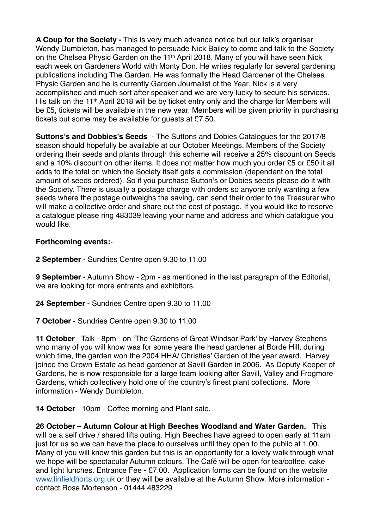**A Coup for the Society -** This is very much advance notice but our talk's organiser Wendy Dumbleton, has managed to persuade Nick Bailey to come and talk to the Society on the Chelsea Physic Garden on the 11<sup>th</sup> April 2018. Many of you will have seen Nick each week on Gardeners World with Monty Don. He writes regularly for several gardening publications including The Garden. He was formally the Head Gardener of the Chelsea Physic Garden and he is currently Garden Journalist of the Year. Nick is a very accomplished and much sort after speaker and we are very lucky to secure his services. His talk on the 11<sup>th</sup> April 2018 will be by ticket entry only and the charge for Members will be £5, tickets will be available in the new year. Members will be given priority in purchasing tickets but some may be available for guests at £7.50.

**Suttons's and Dobbies's Seeds** - The Suttons and Dobies Catalogues for the 2017/8 season should hopefully be available at our October Meetings. Members of the Society ordering their seeds and plants through this scheme will receive a 25% discount on Seeds and a 10% discount on other items. It does not matter how much you order £5 or £50 it all adds to the total on which the Society itself gets a commission (dependent on the total amount of seeds ordered). So if you purchase Sutton's or Dobies seeds please do it with the Society. There is usually a postage charge with orders so anyone only wanting a few seeds where the postage outweighs the saving, can send their order to the Treasurer who will make a collective order and share out the cost of postage. If you would like to reserve a catalogue please ring 483039 leaving your name and address and which catalogue you would like.

## **Forthcoming events:**-

**2 September** - Sundries Centre open 9.30 to 11.00

**9 September** - Autumn Show - 2pm - as mentioned in the last paragraph of the Editorial, we are looking for more entrants and exhibitors.

**24 September** - Sundries Centre open 9.30 to 11.00

**7 October** - Sundries Centre open 9.30 to 11.00

**11 October** - Talk - 8pm - on 'The Gardens of Great Windsor Park' by Harvey Stephens who many of you will know was for some years the head gardener at Borde Hill, during which time, the garden won the 2004 HHA/ Christies' Garden of the year award. Harvey joined the Crown Estate as head gardener at Savill Garden in 2006. As Deputy Keeper of Gardens, he is now responsible for a large team looking after Savill, Valley and Frogmore Gardens, which collectively hold one of the country's finest plant collections. More information - Wendy Dumbleton.

**14 October** - 10pm - Coffee morning and Plant sale.

**26 October – Autumn Colour at High Beeches Woodland and Water Garden.** This will be a self drive / shared lifts outing. High Beeches have agreed to open early at 11am just for us so we can have the place to ourselves until they open to the public at 1.00. Many of you will know this garden but this is an opportunity for a lovely walk through what we hope will be spectacular Autumn colours. The Café will be open for tea/coffee, cake and light lunches. Entrance Fee - £7.00. Application forms can be found on the website [www.linfieldhorts.org.uk](http://www.linfieldhorts.org.uk/) or they will be available at the Autumn Show. More information contact Rose Mortenson - 01444 483229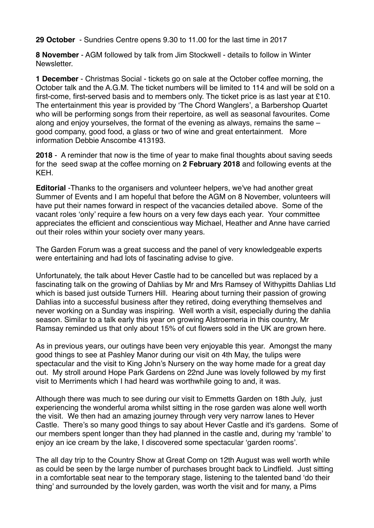**29 October** - Sundries Centre opens 9.30 to 11.00 for the last time in 2017

**8 November** - AGM followed by talk from Jim Stockwell - details to follow in Winter Newsletter.

**1 December** - Christmas Social - tickets go on sale at the October coffee morning, the October talk and the A.G.M. The ticket numbers will be limited to 114 and will be sold on a first-come, first-served basis and to members only. The ticket price is as last year at £10. The entertainment this year is provided by 'The Chord Wanglers', a Barbershop Quartet who will be performing songs from their repertoire, as well as seasonal favourites. Come along and enjoy yourselves, the format of the evening as always, remains the same – good company, good food, a glass or two of wine and great entertainment. More information Debbie Anscombe 413193.

**2018** - A reminder that now is the time of year to make final thoughts about saving seeds for the seed swap at the coffee morning on **2 February 2018** and following events at the KEH.

**Editorial** -Thanks to the organisers and volunteer helpers, we've had another great Summer of Events and I am hopeful that before the AGM on 8 November, volunteers will have put their names forward in respect of the vacancies detailed above. Some of the vacant roles 'only' require a few hours on a very few days each year. Your committee appreciates the efficient and conscientious way Michael, Heather and Anne have carried out their roles within your society over many years.

The Garden Forum was a great success and the panel of very knowledgeable experts were entertaining and had lots of fascinating advise to give.

Unfortunately, the talk about Hever Castle had to be cancelled but was replaced by a fascinating talk on the growing of Dahlias by Mr and Mrs Ramsey of Withypitts Dahlias Ltd which is based just outside Turners Hill. Hearing about turning their passion of growing Dahlias into a successful business after they retired, doing everything themselves and never working on a Sunday was inspiring. Well worth a visit, especially during the dahlia season. Similar to a talk early this year on growing Alstroemeria in this country, Mr Ramsay reminded us that only about 15% of cut flowers sold in the UK are grown here.

As in previous years, our outings have been very enjoyable this year. Amongst the many good things to see at Pashley Manor during our visit on 4th May, the tulips were spectacular and the visit to King John's Nursery on the way home made for a great day out. My stroll around Hope Park Gardens on 22nd June was lovely followed by my first visit to Merriments which I had heard was worthwhile going to and, it was.

Although there was much to see during our visit to Emmetts Garden on 18th July, just experiencing the wonderful aroma whilst sitting in the rose garden was alone well worth the visit. We then had an amazing journey through very very narrow lanes to Hever Castle. There's so many good things to say about Hever Castle and it's gardens. Some of our members spent longer than they had planned in the castle and, during my 'ramble' to enjoy an ice cream by the lake, I discovered some spectacular 'garden rooms'.

The all day trip to the Country Show at Great Comp on 12th August was well worth while as could be seen by the large number of purchases brought back to Lindfield. Just sitting in a comfortable seat near to the temporary stage, listening to the talented band 'do their thing' and surrounded by the lovely garden, was worth the visit and for many, a Pims